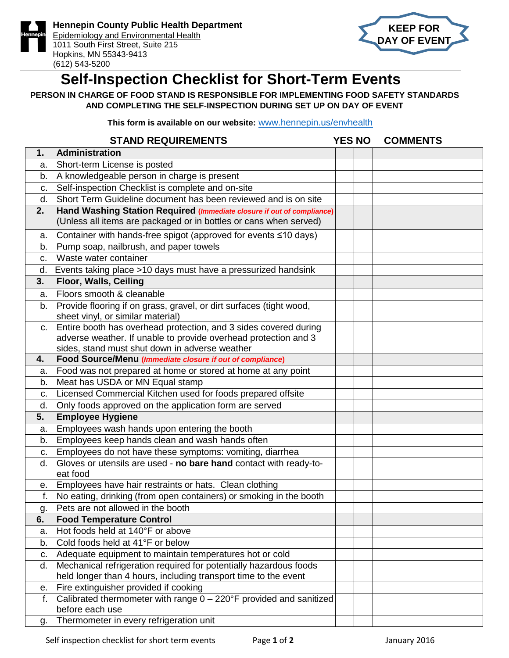



## **Self-Inspection Checklist for Short-Term Events**

**PERSON IN CHARGE OF FOOD STAND IS RESPONSIBLE FOR IMPLEMENTING FOOD SAFETY STANDARDS AND COMPLETING THE SELF-INSPECTION DURING SET UP ON DAY OF EVENT**

**This form is available on our website:** [www.hennepin.us/envhealth](http://www.hennepin.us/envhealth)

|    | <b>STAND REQUIREMENTS</b>                                                                                                            | <b>YES NO</b> | <b>COMMENTS</b> |
|----|--------------------------------------------------------------------------------------------------------------------------------------|---------------|-----------------|
| 1. | Administration                                                                                                                       |               |                 |
| а. | Short-term License is posted                                                                                                         |               |                 |
| b. | A knowledgeable person in charge is present                                                                                          |               |                 |
| c. | Self-inspection Checklist is complete and on-site                                                                                    |               |                 |
| d. | Short Term Guideline document has been reviewed and is on site                                                                       |               |                 |
| 2. | Hand Washing Station Required (Immediate closure if out of compliance)                                                               |               |                 |
|    | (Unless all items are packaged or in bottles or cans when served)                                                                    |               |                 |
| a. | Container with hands-free spigot (approved for events ≤10 days)                                                                      |               |                 |
| b. | Pump soap, nailbrush, and paper towels                                                                                               |               |                 |
| c. | Waste water container                                                                                                                |               |                 |
| d. | Events taking place >10 days must have a pressurized handsink                                                                        |               |                 |
| 3. | Floor, Walls, Ceiling                                                                                                                |               |                 |
| a. | Floors smooth & cleanable                                                                                                            |               |                 |
| b. | Provide flooring if on grass, gravel, or dirt surfaces (tight wood,                                                                  |               |                 |
|    | sheet vinyl, or similar material)                                                                                                    |               |                 |
| C. | Entire booth has overhead protection, and 3 sides covered during                                                                     |               |                 |
|    | adverse weather. If unable to provide overhead protection and 3                                                                      |               |                 |
|    | sides, stand must shut down in adverse weather                                                                                       |               |                 |
| 4. | Food Source/Menu (Immediate closure if out of compliance)                                                                            |               |                 |
| а. | Food was not prepared at home or stored at home at any point                                                                         |               |                 |
| b. | Meat has USDA or MN Equal stamp                                                                                                      |               |                 |
| C. | Licensed Commercial Kitchen used for foods prepared offsite                                                                          |               |                 |
| d. | Only foods approved on the application form are served                                                                               |               |                 |
| 5. | <b>Employee Hygiene</b>                                                                                                              |               |                 |
| a. | Employees wash hands upon entering the booth                                                                                         |               |                 |
| b. | Employees keep hands clean and wash hands often                                                                                      |               |                 |
| c. | Employees do not have these symptoms: vomiting, diarrhea                                                                             |               |                 |
| d. | Gloves or utensils are used - no bare hand contact with ready-to-                                                                    |               |                 |
|    | eat food                                                                                                                             |               |                 |
| е. | Employees have hair restraints or hats. Clean clothing                                                                               |               |                 |
| f. | No eating, drinking (from open containers) or smoking in the booth                                                                   |               |                 |
| g. | Pets are not allowed in the booth                                                                                                    |               |                 |
| 6. | <b>Food Temperature Control</b><br>Hot foods held at 140°F or above                                                                  |               |                 |
| a. | Cold foods held at 41°F or below                                                                                                     |               |                 |
| b. |                                                                                                                                      |               |                 |
| C. | Adequate equipment to maintain temperatures hot or cold                                                                              |               |                 |
| d. | Mechanical refrigeration required for potentially hazardous foods<br>held longer than 4 hours, including transport time to the event |               |                 |
| е. | Fire extinguisher provided if cooking                                                                                                |               |                 |
| f. | Calibrated thermometer with range $0 - 220$ °F provided and sanitized                                                                |               |                 |
|    | before each use                                                                                                                      |               |                 |
| g. | Thermometer in every refrigeration unit                                                                                              |               |                 |